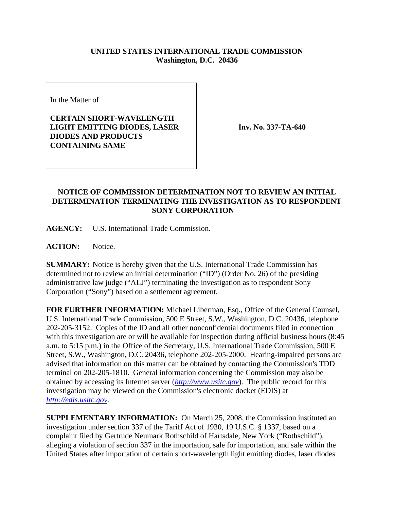## **UNITED STATES INTERNATIONAL TRADE COMMISSION Washington, D.C. 20436**

In the Matter of

**CERTAIN SHORT-WAVELENGTH LIGHT EMITTING DIODES, LASER DIODES AND PRODUCTS CONTAINING SAME**

**Inv. No. 337-TA-640**

## **NOTICE OF COMMISSION DETERMINATION NOT TO REVIEW AN INITIAL DETERMINATION TERMINATING THE INVESTIGATION AS TO RESPONDENT SONY CORPORATION**

**AGENCY:** U.S. International Trade Commission.

**ACTION:** Notice.

**SUMMARY:** Notice is hereby given that the U.S. International Trade Commission has determined not to review an initial determination ("ID") (Order No. 26) of the presiding administrative law judge ("ALJ") terminating the investigation as to respondent Sony Corporation ("Sony") based on a settlement agreement.

**FOR FURTHER INFORMATION:** Michael Liberman, Esq., Office of the General Counsel, U.S. International Trade Commission, 500 E Street, S.W., Washington, D.C. 20436, telephone 202-205-3152. Copies of the ID and all other nonconfidential documents filed in connection with this investigation are or will be available for inspection during official business hours (8:45 a.m. to 5:15 p.m.) in the Office of the Secretary, U.S. International Trade Commission, 500 E Street, S.W., Washington, D.C. 20436, telephone 202-205-2000. Hearing-impaired persons are advised that information on this matter can be obtained by contacting the Commission's TDD terminal on 202-205-1810. General information concerning the Commission may also be obtained by accessing its Internet server (*http://www.usitc.gov*). The public record for this investigation may be viewed on the Commission's electronic docket (EDIS) at *http://edis.usitc.gov*.

**SUPPLEMENTARY INFORMATION:** On March 25, 2008, the Commission instituted an investigation under section 337 of the Tariff Act of 1930, 19 U.S.C. § 1337, based on a complaint filed by Gertrude Neumark Rothschild of Hartsdale, New York ("Rothschild"), alleging a violation of section 337 in the importation, sale for importation, and sale within the United States after importation of certain short-wavelength light emitting diodes, laser diodes